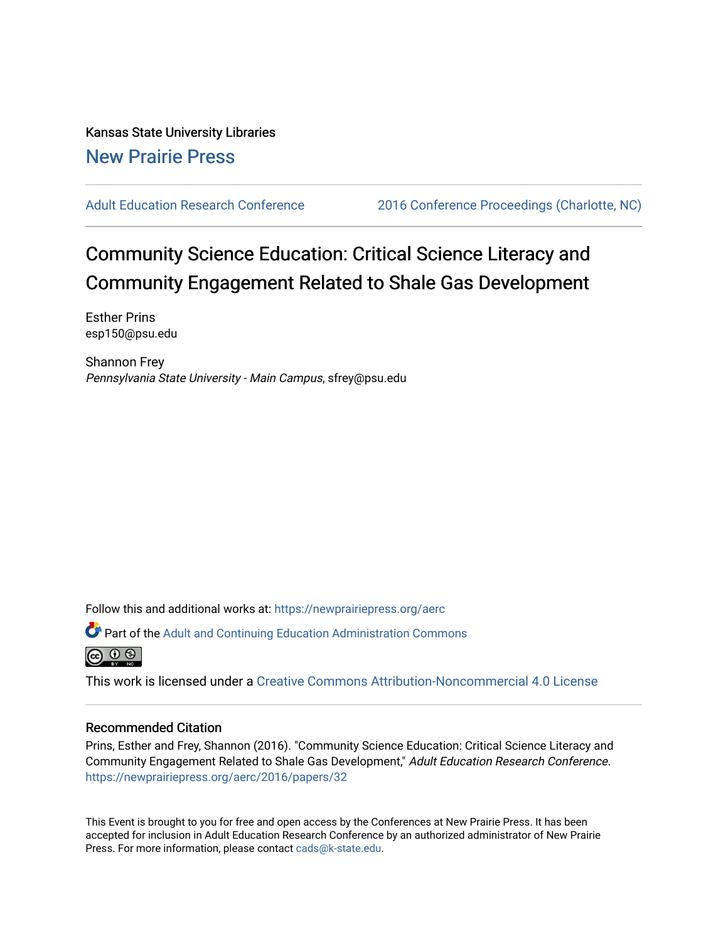Kansas State University Libraries [New Prairie Press](https://newprairiepress.org/) 

[Adult Education Research Conference](https://newprairiepress.org/aerc) [2016 Conference Proceedings \(Charlotte, NC\)](https://newprairiepress.org/aerc/2016) 

# Community Science Education: Critical Science Literacy and Community Engagement Related to Shale Gas Development

Esther Prins esp150@psu.edu

Shannon Frey Pennsylvania State University - Main Campus, sfrey@psu.edu

Follow this and additional works at: [https://newprairiepress.org/aerc](https://newprairiepress.org/aerc?utm_source=newprairiepress.org%2Faerc%2F2016%2Fpapers%2F32&utm_medium=PDF&utm_campaign=PDFCoverPages)

Part of the [Adult and Continuing Education Administration Commons](http://network.bepress.com/hgg/discipline/789?utm_source=newprairiepress.org%2Faerc%2F2016%2Fpapers%2F32&utm_medium=PDF&utm_campaign=PDFCoverPages)



This work is licensed under a [Creative Commons Attribution-Noncommercial 4.0 License](https://creativecommons.org/licenses/by-nc/4.0/)

# Recommended Citation

Prins, Esther and Frey, Shannon (2016). "Community Science Education: Critical Science Literacy and Community Engagement Related to Shale Gas Development," Adult Education Research Conference. <https://newprairiepress.org/aerc/2016/papers/32>

This Event is brought to you for free and open access by the Conferences at New Prairie Press. It has been accepted for inclusion in Adult Education Research Conference by an authorized administrator of New Prairie Press. For more information, please contact [cads@k-state.edu.](mailto:cads@k-state.edu)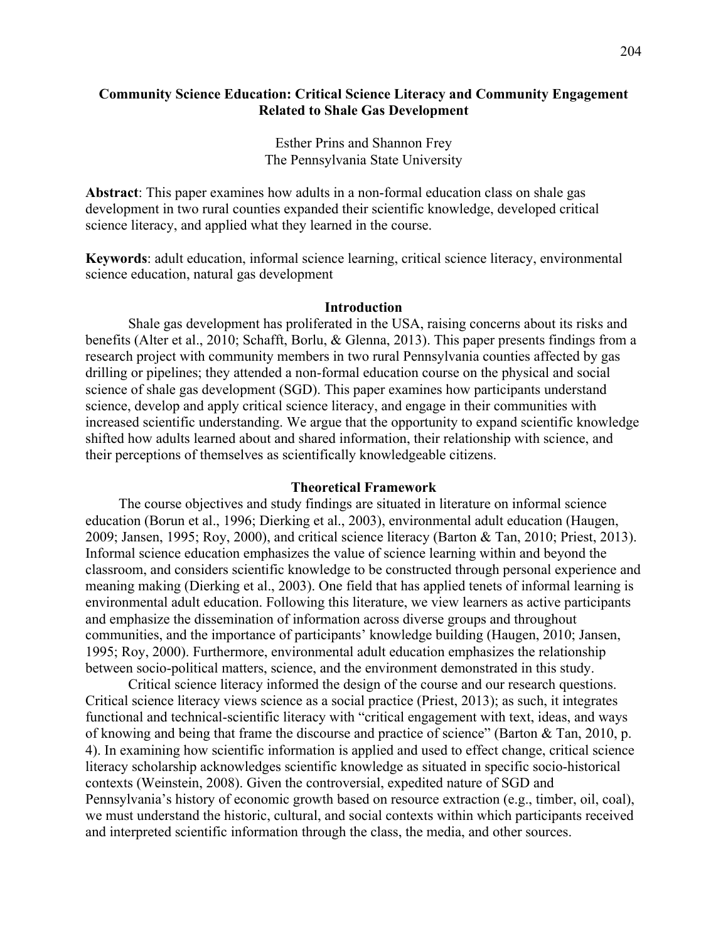# **Community Science Education: Critical Science Literacy and Community Engagement Related to Shale Gas Development**

Esther Prins and Shannon Frey The Pennsylvania State University

**Abstract**: This paper examines how adults in a non-formal education class on shale gas development in two rural counties expanded their scientific knowledge, developed critical science literacy, and applied what they learned in the course.

**Keywords**: adult education, informal science learning, critical science literacy, environmental science education, natural gas development

### **Introduction**

Shale gas development has proliferated in the USA, raising concerns about its risks and benefits (Alter et al., 2010; Schafft, Borlu, & Glenna, 2013). This paper presents findings from a research project with community members in two rural Pennsylvania counties affected by gas drilling or pipelines; they attended a non-formal education course on the physical and social science of shale gas development (SGD). This paper examines how participants understand science, develop and apply critical science literacy, and engage in their communities with increased scientific understanding. We argue that the opportunity to expand scientific knowledge shifted how adults learned about and shared information, their relationship with science, and their perceptions of themselves as scientifically knowledgeable citizens.

#### **Theoretical Framework**

The course objectives and study findings are situated in literature on informal science education (Borun et al., 1996; Dierking et al., 2003), environmental adult education (Haugen, 2009; Jansen, 1995; Roy, 2000), and critical science literacy (Barton & Tan, 2010; Priest, 2013). Informal science education emphasizes the value of science learning within and beyond the classroom, and considers scientific knowledge to be constructed through personal experience and meaning making (Dierking et al., 2003). One field that has applied tenets of informal learning is environmental adult education. Following this literature, we view learners as active participants and emphasize the dissemination of information across diverse groups and throughout communities, and the importance of participants' knowledge building (Haugen, 2010; Jansen, 1995; Roy, 2000). Furthermore, environmental adult education emphasizes the relationship between socio-political matters, science, and the environment demonstrated in this study.

Critical science literacy informed the design of the course and our research questions. Critical science literacy views science as a social practice (Priest, 2013); as such, it integrates functional and technical-scientific literacy with "critical engagement with text, ideas, and ways of knowing and being that frame the discourse and practice of science" (Barton & Tan, 2010, p. 4). In examining how scientific information is applied and used to effect change, critical science literacy scholarship acknowledges scientific knowledge as situated in specific socio-historical contexts (Weinstein, 2008). Given the controversial, expedited nature of SGD and Pennsylvania's history of economic growth based on resource extraction (e.g., timber, oil, coal), we must understand the historic, cultural, and social contexts within which participants received and interpreted scientific information through the class, the media, and other sources.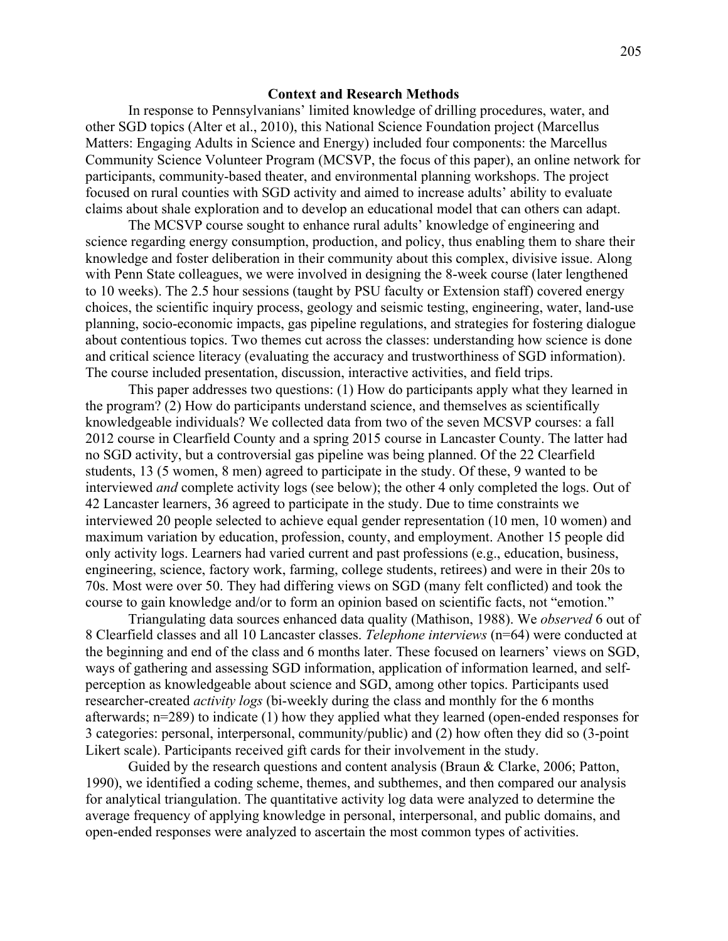## **Context and Research Methods**

In response to Pennsylvanians' limited knowledge of drilling procedures, water, and other SGD topics (Alter et al., 2010), this National Science Foundation project (Marcellus Matters: Engaging Adults in Science and Energy) included four components: the Marcellus Community Science Volunteer Program (MCSVP, the focus of this paper), an online network for participants, community-based theater, and environmental planning workshops. The project focused on rural counties with SGD activity and aimed to increase adults' ability to evaluate claims about shale exploration and to develop an educational model that can others can adapt.

The MCSVP course sought to enhance rural adults' knowledge of engineering and science regarding energy consumption, production, and policy, thus enabling them to share their knowledge and foster deliberation in their community about this complex, divisive issue. Along with Penn State colleagues, we were involved in designing the 8-week course (later lengthened to 10 weeks). The 2.5 hour sessions (taught by PSU faculty or Extension staff) covered energy choices, the scientific inquiry process, geology and seismic testing, engineering, water, land-use planning, socio-economic impacts, gas pipeline regulations, and strategies for fostering dialogue about contentious topics. Two themes cut across the classes: understanding how science is done and critical science literacy (evaluating the accuracy and trustworthiness of SGD information). The course included presentation, discussion, interactive activities, and field trips.

This paper addresses two questions: (1) How do participants apply what they learned in the program? (2) How do participants understand science, and themselves as scientifically knowledgeable individuals? We collected data from two of the seven MCSVP courses: a fall 2012 course in Clearfield County and a spring 2015 course in Lancaster County. The latter had no SGD activity, but a controversial gas pipeline was being planned. Of the 22 Clearfield students, 13 (5 women, 8 men) agreed to participate in the study. Of these, 9 wanted to be interviewed *and* complete activity logs (see below); the other 4 only completed the logs. Out of 42 Lancaster learners, 36 agreed to participate in the study. Due to time constraints we interviewed 20 people selected to achieve equal gender representation (10 men, 10 women) and maximum variation by education, profession, county, and employment. Another 15 people did only activity logs. Learners had varied current and past professions (e.g., education, business, engineering, science, factory work, farming, college students, retirees) and were in their 20s to 70s. Most were over 50. They had differing views on SGD (many felt conflicted) and took the course to gain knowledge and/or to form an opinion based on scientific facts, not "emotion."

Triangulating data sources enhanced data quality (Mathison, 1988). We *observed* 6 out of 8 Clearfield classes and all 10 Lancaster classes. *Telephone interviews* (n=64) were conducted at the beginning and end of the class and 6 months later. These focused on learners' views on SGD, ways of gathering and assessing SGD information, application of information learned, and selfperception as knowledgeable about science and SGD, among other topics. Participants used researcher-created *activity logs* (bi-weekly during the class and monthly for the 6 months afterwards; n=289) to indicate (1) how they applied what they learned (open-ended responses for 3 categories: personal, interpersonal, community/public) and (2) how often they did so (3-point Likert scale). Participants received gift cards for their involvement in the study.

Guided by the research questions and content analysis (Braun & Clarke, 2006; Patton, 1990), we identified a coding scheme, themes, and subthemes, and then compared our analysis for analytical triangulation. The quantitative activity log data were analyzed to determine the average frequency of applying knowledge in personal, interpersonal, and public domains, and open-ended responses were analyzed to ascertain the most common types of activities.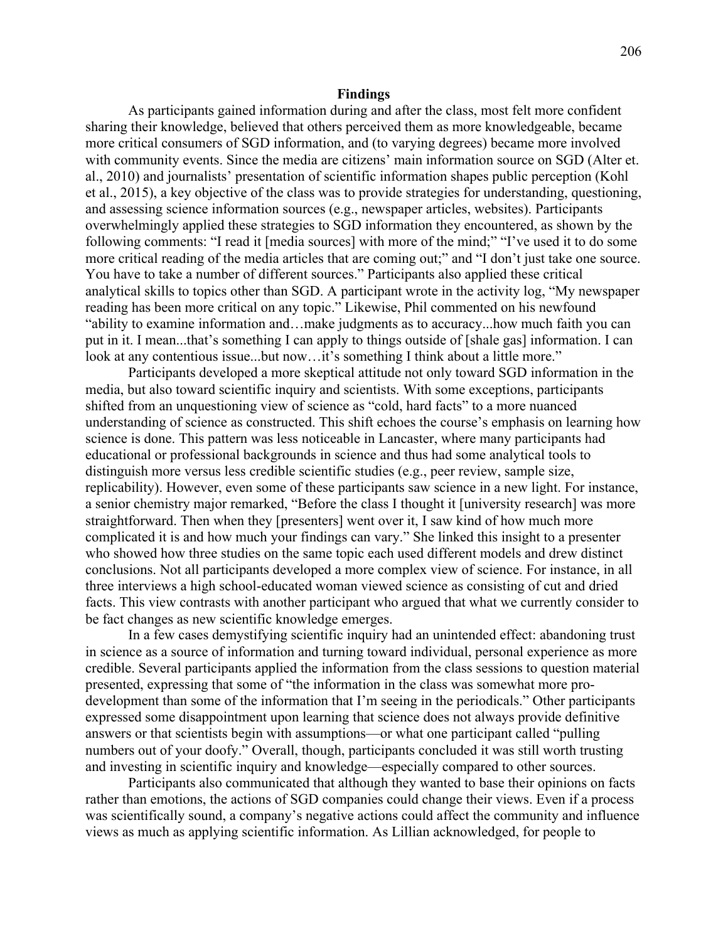#### **Findings**

As participants gained information during and after the class, most felt more confident sharing their knowledge, believed that others perceived them as more knowledgeable, became more critical consumers of SGD information, and (to varying degrees) became more involved with community events. Since the media are citizens' main information source on SGD (Alter et. al., 2010) and journalists' presentation of scientific information shapes public perception (Kohl et al., 2015), a key objective of the class was to provide strategies for understanding, questioning, and assessing science information sources (e.g., newspaper articles, websites). Participants overwhelmingly applied these strategies to SGD information they encountered, as shown by the following comments: "I read it [media sources] with more of the mind;" "I've used it to do some more critical reading of the media articles that are coming out;" and "I don't just take one source. You have to take a number of different sources." Participants also applied these critical analytical skills to topics other than SGD. A participant wrote in the activity log, "My newspaper reading has been more critical on any topic." Likewise, Phil commented on his newfound "ability to examine information and…make judgments as to accuracy...how much faith you can put in it. I mean...that's something I can apply to things outside of [shale gas] information. I can look at any contentious issue...but now...it's something I think about a little more."

Participants developed a more skeptical attitude not only toward SGD information in the media, but also toward scientific inquiry and scientists. With some exceptions, participants shifted from an unquestioning view of science as "cold, hard facts" to a more nuanced understanding of science as constructed. This shift echoes the course's emphasis on learning how science is done. This pattern was less noticeable in Lancaster, where many participants had educational or professional backgrounds in science and thus had some analytical tools to distinguish more versus less credible scientific studies (e.g., peer review, sample size, replicability). However, even some of these participants saw science in a new light. For instance, a senior chemistry major remarked, "Before the class I thought it [university research] was more straightforward. Then when they [presenters] went over it, I saw kind of how much more complicated it is and how much your findings can vary." She linked this insight to a presenter who showed how three studies on the same topic each used different models and drew distinct conclusions. Not all participants developed a more complex view of science. For instance, in all three interviews a high school-educated woman viewed science as consisting of cut and dried facts. This view contrasts with another participant who argued that what we currently consider to be fact changes as new scientific knowledge emerges.

In a few cases demystifying scientific inquiry had an unintended effect: abandoning trust in science as a source of information and turning toward individual, personal experience as more credible. Several participants applied the information from the class sessions to question material presented, expressing that some of "the information in the class was somewhat more prodevelopment than some of the information that I'm seeing in the periodicals." Other participants expressed some disappointment upon learning that science does not always provide definitive answers or that scientists begin with assumptions—or what one participant called "pulling numbers out of your doofy." Overall, though, participants concluded it was still worth trusting and investing in scientific inquiry and knowledge—especially compared to other sources.

Participants also communicated that although they wanted to base their opinions on facts rather than emotions, the actions of SGD companies could change their views. Even if a process was scientifically sound, a company's negative actions could affect the community and influence views as much as applying scientific information. As Lillian acknowledged, for people to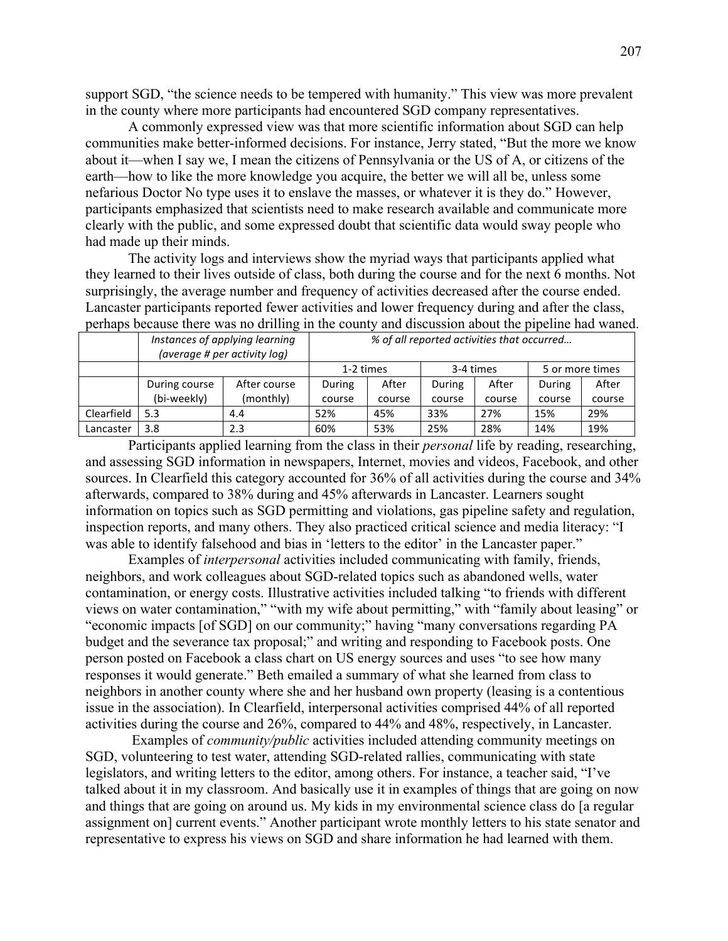support SGD, "the science needs to be tempered with humanity." This view was more prevalent in the county where more participants had encountered SGD company representatives.

A commonly expressed view was that more scientific information about SGD can help communities make better-informed decisions. For instance, Jerry stated, "But the more we know about it—when I say we, I mean the citizens of Pennsylvania or the US of A, or citizens of the earth—how to like the more knowledge you acquire, the better we will all be, unless some nefarious Doctor No type uses it to enslave the masses, or whatever it is they do." However, participants emphasized that scientists need to make research available and communicate more clearly with the public, and some expressed doubt that scientific data would sway people who had made up their minds.

The activity logs and interviews show the myriad ways that participants applied what they learned to their lives outside of class, both during the course and for the next 6 months. Not surprisingly, the average number and frequency of activities decreased after the course ended. Lancaster participants reported fewer activities and lower frequency during and after the class, perhaps because there was no drilling in the county and discussion about the pipeline had waned.

|            | Instances of applying learning<br>(average # per activity log) |              | % of all reported activities that occurred |        |           |        |                 |        |
|------------|----------------------------------------------------------------|--------------|--------------------------------------------|--------|-----------|--------|-----------------|--------|
|            |                                                                |              | 1-2 times                                  |        | 3-4 times |        | 5 or more times |        |
|            | During course                                                  | After course | During                                     | After  | During    | After  | During          | After  |
|            | (bi-weekly)                                                    | (monthly)    | course                                     | course | course    | course | course          | course |
| Clearfield | 5.3                                                            | 4.4          | 52%                                        | 45%    | 33%       | 27%    | 15%             | 29%    |
| Lancaster  | 3.8                                                            | 2.3          | 60%                                        | 53%    | 25%       | 28%    | 14%             | 19%    |

Participants applied learning from the class in their *personal* life by reading, researching, and assessing SGD information in newspapers, Internet, movies and videos, Facebook, and other sources. In Clearfield this category accounted for 36% of all activities during the course and 34% afterwards, compared to 38% during and 45% afterwards in Lancaster. Learners sought information on topics such as SGD permitting and violations, gas pipeline safety and regulation, inspection reports, and many others. They also practiced critical science and media literacy: "I was able to identify falsehood and bias in 'letters to the editor' in the Lancaster paper."

Examples of *interpersonal* activities included communicating with family, friends, neighbors, and work colleagues about SGD-related topics such as abandoned wells, water contamination, or energy costs. Illustrative activities included talking "to friends with different views on water contamination," "with my wife about permitting," with "family about leasing" or "economic impacts [of SGD] on our community;" having "many conversations regarding PA budget and the severance tax proposal;" and writing and responding to Facebook posts. One person posted on Facebook a class chart on US energy sources and uses "to see how many responses it would generate." Beth emailed a summary of what she learned from class to neighbors in another county where she and her husband own property (leasing is a contentious issue in the association). In Clearfield, interpersonal activities comprised 44% of all reported activities during the course and 26%, compared to 44% and 48%, respectively, in Lancaster.

Examples of *community/public* activities included attending community meetings on SGD, volunteering to test water, attending SGD-related rallies, communicating with state legislators, and writing letters to the editor, among others. For instance, a teacher said, "I've talked about it in my classroom. And basically use it in examples of things that are going on now and things that are going on around us. My kids in my environmental science class do [a regular assignment on] current events." Another participant wrote monthly letters to his state senator and representative to express his views on SGD and share information he had learned with them.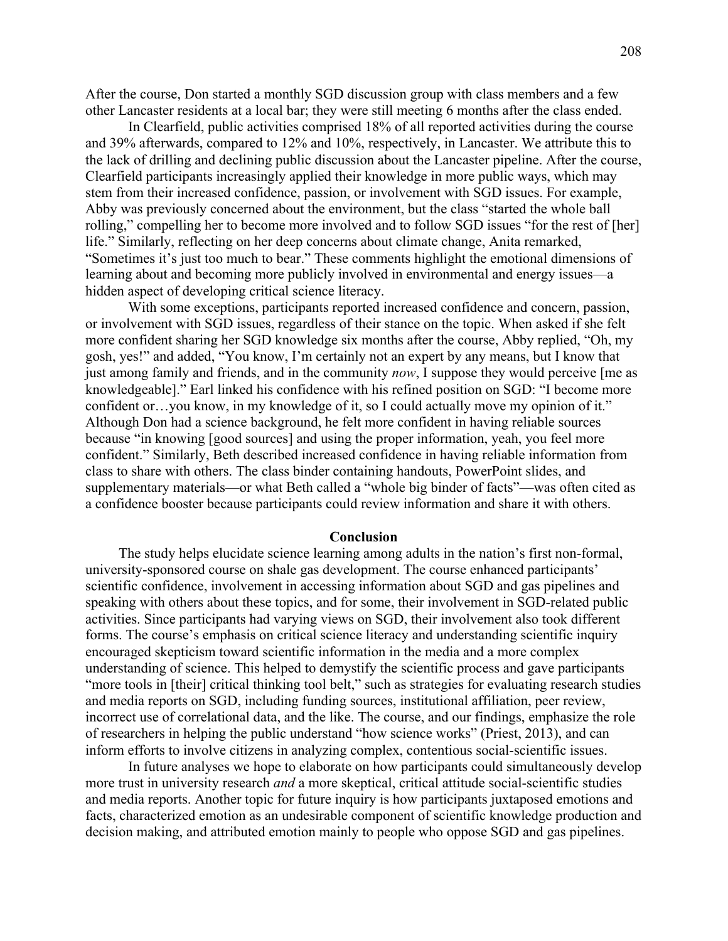After the course, Don started a monthly SGD discussion group with class members and a few other Lancaster residents at a local bar; they were still meeting 6 months after the class ended.

In Clearfield, public activities comprised 18% of all reported activities during the course and 39% afterwards, compared to 12% and 10%, respectively, in Lancaster. We attribute this to the lack of drilling and declining public discussion about the Lancaster pipeline. After the course, Clearfield participants increasingly applied their knowledge in more public ways, which may stem from their increased confidence, passion, or involvement with SGD issues. For example, Abby was previously concerned about the environment, but the class "started the whole ball rolling," compelling her to become more involved and to follow SGD issues "for the rest of [her] life." Similarly, reflecting on her deep concerns about climate change, Anita remarked, "Sometimes it's just too much to bear." These comments highlight the emotional dimensions of learning about and becoming more publicly involved in environmental and energy issues—a hidden aspect of developing critical science literacy.

With some exceptions, participants reported increased confidence and concern, passion, or involvement with SGD issues, regardless of their stance on the topic. When asked if she felt more confident sharing her SGD knowledge six months after the course, Abby replied, "Oh, my gosh, yes!" and added, "You know, I'm certainly not an expert by any means, but I know that just among family and friends, and in the community *now*, I suppose they would perceive [me as knowledgeable]." Earl linked his confidence with his refined position on SGD: "I become more confident or…you know, in my knowledge of it, so I could actually move my opinion of it." Although Don had a science background, he felt more confident in having reliable sources because "in knowing [good sources] and using the proper information, yeah, you feel more confident." Similarly, Beth described increased confidence in having reliable information from class to share with others. The class binder containing handouts, PowerPoint slides, and supplementary materials—or what Beth called a "whole big binder of facts"—was often cited as a confidence booster because participants could review information and share it with others.

#### **Conclusion**

The study helps elucidate science learning among adults in the nation's first non-formal, university-sponsored course on shale gas development. The course enhanced participants' scientific confidence, involvement in accessing information about SGD and gas pipelines and speaking with others about these topics, and for some, their involvement in SGD-related public activities. Since participants had varying views on SGD, their involvement also took different forms. The course's emphasis on critical science literacy and understanding scientific inquiry encouraged skepticism toward scientific information in the media and a more complex understanding of science. This helped to demystify the scientific process and gave participants "more tools in [their] critical thinking tool belt," such as strategies for evaluating research studies and media reports on SGD, including funding sources, institutional affiliation, peer review, incorrect use of correlational data, and the like. The course, and our findings, emphasize the role of researchers in helping the public understand "how science works" (Priest, 2013), and can inform efforts to involve citizens in analyzing complex, contentious social-scientific issues.

In future analyses we hope to elaborate on how participants could simultaneously develop more trust in university research *and* a more skeptical, critical attitude social-scientific studies and media reports. Another topic for future inquiry is how participants juxtaposed emotions and facts, characterized emotion as an undesirable component of scientific knowledge production and decision making, and attributed emotion mainly to people who oppose SGD and gas pipelines.